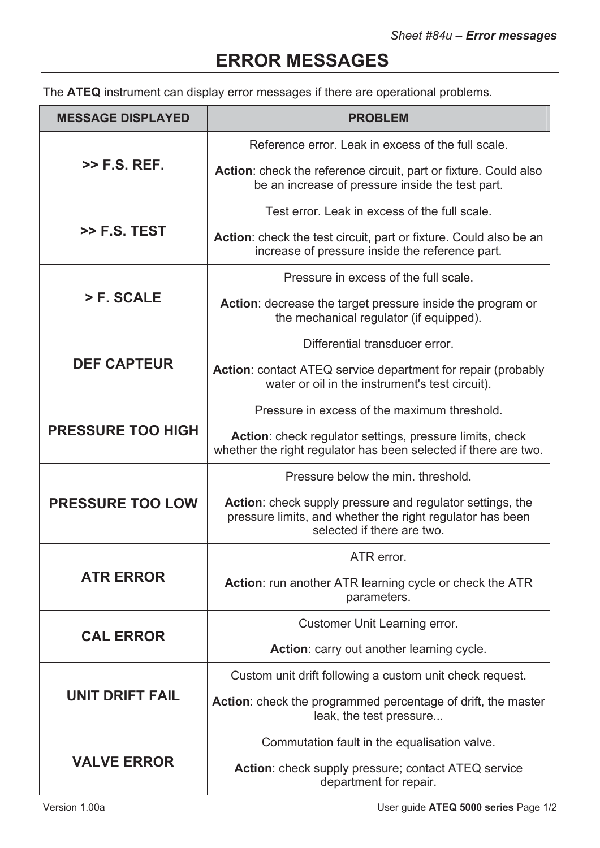## **ERROR MESSAGES**

The **ATEQ** instrument can display error messages if there are operational problems.

| <b>MESSAGE DISPLAYED</b> | <b>PROBLEM</b>                                                                                                                                       |
|--------------------------|------------------------------------------------------------------------------------------------------------------------------------------------------|
| $>>$ F.S. REF.           | Reference error. Leak in excess of the full scale.                                                                                                   |
|                          | <b>Action:</b> check the reference circuit, part or fixture. Could also<br>be an increase of pressure inside the test part.                          |
| $\gg$ F.S. TEST          | Test error. Leak in excess of the full scale.                                                                                                        |
|                          | Action: check the test circuit, part or fixture. Could also be an<br>increase of pressure inside the reference part.                                 |
| > F. SCALE               | Pressure in excess of the full scale.                                                                                                                |
|                          | <b>Action:</b> decrease the target pressure inside the program or<br>the mechanical regulator (if equipped).                                         |
| <b>DEF CAPTEUR</b>       | Differential transducer error.                                                                                                                       |
|                          | Action: contact ATEQ service department for repair (probably<br>water or oil in the instrument's test circuit).                                      |
| <b>PRESSURE TOO HIGH</b> | Pressure in excess of the maximum threshold.                                                                                                         |
|                          | <b>Action:</b> check regulator settings, pressure limits, check<br>whether the right regulator has been selected if there are two.                   |
| <b>PRESSURE TOO LOW</b>  | Pressure below the min. threshold.                                                                                                                   |
|                          | Action: check supply pressure and regulator settings, the<br>pressure limits, and whether the right regulator has been<br>selected if there are two. |
| <b>ATR ERROR</b>         | ATR error.                                                                                                                                           |
|                          | <b>Action:</b> run another ATR learning cycle or check the ATR<br>parameters.                                                                        |
| <b>CAL ERROR</b>         | <b>Customer Unit Learning error.</b>                                                                                                                 |
|                          | Action: carry out another learning cycle.                                                                                                            |
| <b>UNIT DRIFT FAIL</b>   | Custom unit drift following a custom unit check request.                                                                                             |
|                          | Action: check the programmed percentage of drift, the master<br>leak, the test pressure                                                              |
| <b>VALVE ERROR</b>       | Commutation fault in the equalisation valve.                                                                                                         |
|                          | Action: check supply pressure; contact ATEQ service<br>department for repair.                                                                        |